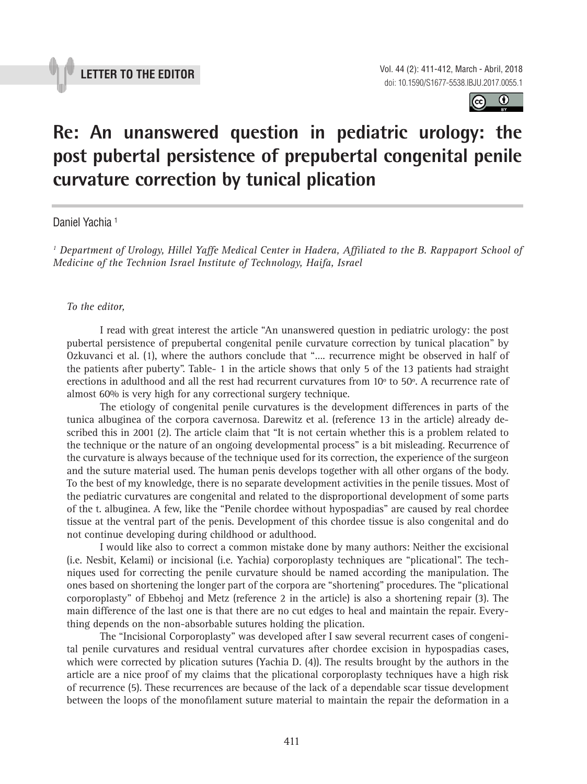

 $\odot$  $(cc)$ 

# **Re: An unanswered question in pediatric urology: the post pubertal persistence of prepubertal congenital penile curvature correction by tunical plication \_\_\_\_\_\_\_\_\_\_\_\_\_\_\_\_\_\_\_\_\_\_\_\_\_\_\_\_\_\_\_\_\_\_\_\_\_\_\_\_\_\_\_\_\_\_\_**

## Daniel Yachia 1

*1 Department of Urology, Hillel Yaffe Medical Center in Hadera, Affiliated to the B. Rappaport School of Medicine of the Technion Israel Institute of Technology, Haifa, Israel*

#### *To the editor,*

I read with great interest the article "An unanswered question in pediatric urology: the post pubertal persistence of prepubertal congenital penile curvature correction by tunical placation" by Ozkuvanci et al. (1), where the authors conclude that "…. recurrence might be observed in half of the patients after puberty". Table- 1 in the article shows that only 5 of the 13 patients had straight erections in adulthood and all the rest had recurrent curvatures from 10º to 50º. A recurrence rate of almost 60% is very high for any correctional surgery technique.

The etiology of congenital penile curvatures is the development differences in parts of the tunica albuginea of the corpora cavernosa. Darewitz et al. (reference 13 in the article) already described this in 2001 (2). The article claim that "It is not certain whether this is a problem related to the technique or the nature of an ongoing developmental process" is a bit misleading. Recurrence of the curvature is always because of the technique used for its correction, the experience of the surgeon and the suture material used. The human penis develops together with all other organs of the body. To the best of my knowledge, there is no separate development activities in the penile tissues. Most of the pediatric curvatures are congenital and related to the disproportional development of some parts of the t. albuginea. A few, like the "Penile chordee without hypospadias" are caused by real chordee tissue at the ventral part of the penis. Development of this chordee tissue is also congenital and do not continue developing during childhood or adulthood.

I would like also to correct a common mistake done by many authors: Neither the excisional (i.e. Nesbit, Kelami) or incisional (i.e. Yachia) corporoplasty techniques are "plicational". The techniques used for correcting the penile curvature should be named according the manipulation. The ones based on shortening the longer part of the corpora are "shortening" procedures. The "plicational corporoplasty" of Ebbehoj and Metz (reference 2 in the article) is also a shortening repair (3). The main difference of the last one is that there are no cut edges to heal and maintain the repair. Everything depends on the non-absorbable sutures holding the plication.

The "Incisional Corporoplasty" was developed after I saw several recurrent cases of congenital penile curvatures and residual ventral curvatures after chordee excision in hypospadias cases, which were corrected by plication sutures (Yachia D. (4)). The results brought by the authors in the article are a nice proof of my claims that the plicational corporoplasty techniques have a high risk of recurrence (5). These recurrences are because of the lack of a dependable scar tissue development between the loops of the monofilament suture material to maintain the repair the deformation in a